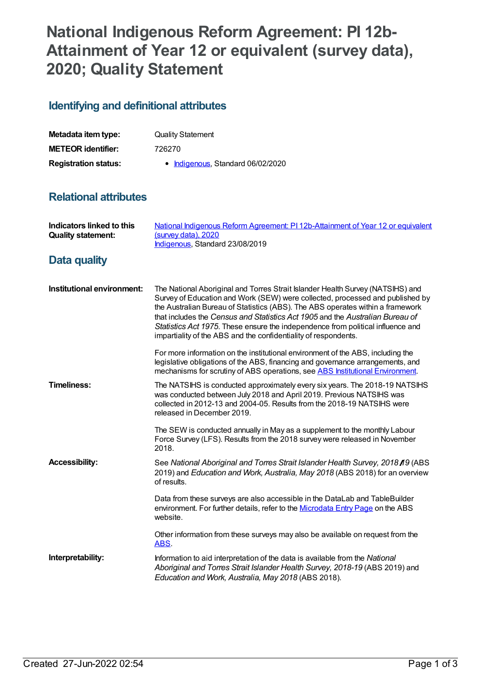## **National Indigenous Reform Agreement: PI 12b-Attainment of Year 12 or equivalent (survey data), 2020; Quality Statement**

## **Identifying and definitional attributes**

| Metadata item type:         | <b>Quality Statement</b>          |
|-----------------------------|-----------------------------------|
| <b>METEOR identifier:</b>   | 726270                            |
| <b>Registration status:</b> | • Indigenous, Standard 06/02/2020 |

## **Relational attributes**

| Indicators linked to this<br><b>Quality statement:</b> | National Indigenous Reform Agreement: PI 12b-Attainment of Year 12 or equivalent<br>(survey data), 2020<br>Indigenous, Standard 23/08/2019                                                                                                                                                                                                                                                                                                                                               |
|--------------------------------------------------------|------------------------------------------------------------------------------------------------------------------------------------------------------------------------------------------------------------------------------------------------------------------------------------------------------------------------------------------------------------------------------------------------------------------------------------------------------------------------------------------|
| Data quality                                           |                                                                                                                                                                                                                                                                                                                                                                                                                                                                                          |
| Institutional environment:                             | The National Aboriginal and Torres Strait Islander Health Survey (NATSIHS) and<br>Survey of Education and Work (SEW) were collected, processed and published by<br>the Australian Bureau of Statistics (ABS). The ABS operates within a framework<br>that includes the Census and Statistics Act 1905 and the Australian Bureau of<br>Statistics Act 1975. These ensure the independence from political influence and<br>impartiality of the ABS and the confidentiality of respondents. |
|                                                        | For more information on the institutional environment of the ABS, including the<br>legislative obligations of the ABS, financing and governance arrangements, and<br>mechanisms for scrutiny of ABS operations, see ABS Institutional Environment.                                                                                                                                                                                                                                       |
| <b>Timeliness:</b>                                     | The NATSIHS is conducted approximately every six years. The 2018-19 NATSIHS<br>was conducted between July 2018 and April 2019. Previous NATSIHS was<br>collected in 2012-13 and 2004-05. Results from the 2018-19 NATSIHS were<br>released in December 2019.                                                                                                                                                                                                                             |
|                                                        | The SEW is conducted annually in May as a supplement to the monthly Labour<br>Force Survey (LFS). Results from the 2018 survey were released in November<br>2018.                                                                                                                                                                                                                                                                                                                        |
| <b>Accessibility:</b>                                  | See National Aboriginal and Torres Strait Islander Health Survey, 2018 19 (ABS<br>2019) and Education and Work, Australia, May 2018 (ABS 2018) for an overview<br>of results.                                                                                                                                                                                                                                                                                                            |
|                                                        | Data from these surveys are also accessible in the DataLab and TableBuilder<br>environment. For further details, refer to the Microdata Entry Page on the ABS<br>website.                                                                                                                                                                                                                                                                                                                |
|                                                        | Other information from these surveys may also be available on request from the<br>ABS.                                                                                                                                                                                                                                                                                                                                                                                                   |
| Interpretability:                                      | Information to aid interpretation of the data is available from the National<br>Aboriginal and Torres Strait Islander Health Survey, 2018-19 (ABS 2019) and<br>Education and Work, Australia, May 2018 (ABS 2018).                                                                                                                                                                                                                                                                       |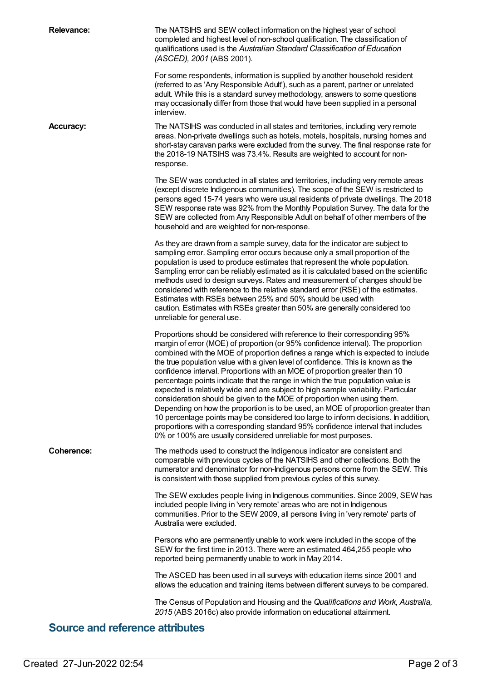| <b>Relevance:</b>                      | The NATSIHS and SEW collect information on the highest year of school<br>completed and highest level of non-school qualification. The classification of<br>qualifications used is the Australian Standard Classification of Education<br>(ASCED), 2001 (ABS 2001).                                                                                                                                                                                                                                                                                                                                                                                                                                                                                                                                                                                                                                                                                                                                       |  |
|----------------------------------------|----------------------------------------------------------------------------------------------------------------------------------------------------------------------------------------------------------------------------------------------------------------------------------------------------------------------------------------------------------------------------------------------------------------------------------------------------------------------------------------------------------------------------------------------------------------------------------------------------------------------------------------------------------------------------------------------------------------------------------------------------------------------------------------------------------------------------------------------------------------------------------------------------------------------------------------------------------------------------------------------------------|--|
|                                        | For some respondents, information is supplied by another household resident<br>(referred to as 'Any Responsible Adult'), such as a parent, partner or unrelated<br>adult. While this is a standard survey methodology, answers to some questions<br>may occasionally differ from those that would have been supplied in a personal<br>interview.                                                                                                                                                                                                                                                                                                                                                                                                                                                                                                                                                                                                                                                         |  |
| <b>Accuracy:</b>                       | The NATSIHS was conducted in all states and territories, including very remote<br>areas. Non-private dwellings such as hotels, motels, hospitals, nursing homes and<br>short-stay caravan parks were excluded from the survey. The final response rate for<br>the 2018-19 NATSIHS was 73.4%. Results are weighted to account for non-<br>response.                                                                                                                                                                                                                                                                                                                                                                                                                                                                                                                                                                                                                                                       |  |
|                                        | The SEW was conducted in all states and territories, including very remote areas<br>(except discrete Indigenous communities). The scope of the SEW is restricted to<br>persons aged 15-74 years who were usual residents of private dwellings. The 2018<br>SEW response rate was 92% from the Monthly Population Survey. The data for the<br>SEW are collected from Any Responsible Adult on behalf of other members of the<br>household and are weighted for non-response.                                                                                                                                                                                                                                                                                                                                                                                                                                                                                                                              |  |
|                                        | As they are drawn from a sample survey, data for the indicator are subject to<br>sampling error. Sampling error occurs because only a small proportion of the<br>population is used to produce estimates that represent the whole population.<br>Sampling error can be reliably estimated as it is calculated based on the scientific<br>methods used to design surveys. Rates and measurement of changes should be<br>considered with reference to the relative standard error (RSE) of the estimates.<br>Estimates with RSEs between 25% and 50% should be used with<br>caution. Estimates with RSEs greater than 50% are generally considered too<br>unreliable for general use.                                                                                                                                                                                                                                                                                                                      |  |
|                                        | Proportions should be considered with reference to their corresponding 95%<br>margin of error (MOE) of proportion (or 95% confidence interval). The proportion<br>combined with the MOE of proportion defines a range which is expected to include<br>the true population value with a given level of confidence. This is known as the<br>confidence interval. Proportions with an MOE of proportion greater than 10<br>percentage points indicate that the range in which the true population value is<br>expected is relatively wide and are subject to high sample variability. Particular<br>consideration should be given to the MOE of proportion when using them.<br>Depending on how the proportion is to be used, an MOE of proportion greater than<br>10 percentage points may be considered too large to inform decisions. In addition,<br>proportions with a corresponding standard 95% confidence interval that includes<br>0% or 100% are usually considered unreliable for most purposes. |  |
| <b>Coherence:</b>                      | The methods used to construct the Indigenous indicator are consistent and<br>comparable with previous cycles of the NATSIHS and other collections. Both the<br>numerator and denominator for non-Indigenous persons come from the SEW. This<br>is consistent with those supplied from previous cycles of this survey.                                                                                                                                                                                                                                                                                                                                                                                                                                                                                                                                                                                                                                                                                    |  |
|                                        | The SEW excludes people living in Indigenous communities. Since 2009, SEW has<br>included people living in 'very remote' areas who are not in Indigenous<br>communities. Prior to the SEW 2009, all persons living in 'very remote' parts of<br>Australia were excluded.                                                                                                                                                                                                                                                                                                                                                                                                                                                                                                                                                                                                                                                                                                                                 |  |
|                                        | Persons who are permanently unable to work were included in the scope of the<br>SEW for the first time in 2013. There were an estimated 464,255 people who<br>reported being permanently unable to work in May 2014.                                                                                                                                                                                                                                                                                                                                                                                                                                                                                                                                                                                                                                                                                                                                                                                     |  |
|                                        | The ASCED has been used in all surveys with education items since 2001 and<br>allows the education and training items between different surveys to be compared.                                                                                                                                                                                                                                                                                                                                                                                                                                                                                                                                                                                                                                                                                                                                                                                                                                          |  |
|                                        | The Census of Population and Housing and the Qualifications and Work, Australia,<br>2015 (ABS 2016c) also provide information on educational attainment.                                                                                                                                                                                                                                                                                                                                                                                                                                                                                                                                                                                                                                                                                                                                                                                                                                                 |  |
| <b>Source and reference attributes</b> |                                                                                                                                                                                                                                                                                                                                                                                                                                                                                                                                                                                                                                                                                                                                                                                                                                                                                                                                                                                                          |  |